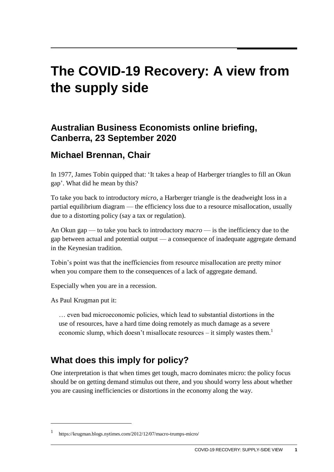# **The COVID-19 Recovery: A view from the supply side**

#### **Australian Business Economists online briefing, Canberra, 23 September 2020**

#### **Michael Brennan, Chair**

In 1977, James Tobin quipped that: 'It takes a heap of Harberger triangles to fill an Okun gap'. What did he mean by this?

To take you back to introductory *micro*, a Harberger triangle is the deadweight loss in a partial equilibrium diagram — the efficiency loss due to a resource misallocation, usually due to a distorting policy (say a tax or regulation).

An Okun gap — to take you back to introductory *macro* — is the inefficiency due to the gap between actual and potential output — a consequence of inadequate aggregate demand in the Keynesian tradition.

Tobin's point was that the inefficiencies from resource misallocation are pretty minor when you compare them to the consequences of a lack of aggregate demand.

Especially when you are in a recession.

As Paul Krugman put it:

 $\overline{a}$ 

… even bad microeconomic policies, which lead to substantial distortions in the use of resources, have a hard time doing remotely as much damage as a severe economic slump, which doesn't misallocate resources – it simply wastes them.<sup>1</sup>

# **What does this imply for policy?**

One interpretation is that when times get tough, macro dominates micro: the policy focus should be on getting demand stimulus out there, and you should worry less about whether you are causing inefficiencies or distortions in the economy along the way.

<sup>1</sup> https://krugman.blogs.nytimes.com/2012/12/07/macro-trumps-micro/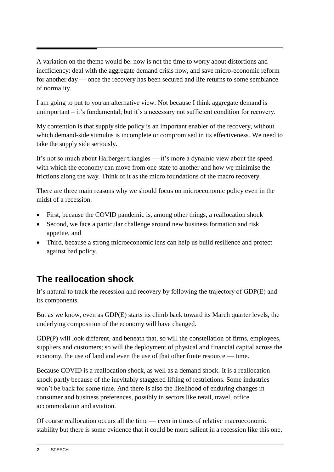A variation on the theme would be: now is not the time to worry about distortions and inefficiency: deal with the aggregate demand crisis now, and save micro-economic reform for another day — once the recovery has been secured and life returns to some semblance of normality.

I am going to put to you an alternative view. Not because I think aggregate demand is unimportant – it's fundamental; but it's a necessary not sufficient condition for recovery.

My contention is that supply side policy is an important enabler of the recovery, without which demand-side stimulus is incomplete or compromised in its effectiveness. We need to take the supply side seriously.

It's not so much about Harberger triangles — it's more a dynamic view about the speed with which the economy can move from one state to another and how we minimise the frictions along the way. Think of it as the micro foundations of the macro recovery.

There are three main reasons why we should focus on microeconomic policy even in the midst of a recession.

- First, because the COVID pandemic is, among other things, a reallocation shock
- Second, we face a particular challenge around new business formation and risk appetite, and
- Third, because a strong microeconomic lens can help us build resilience and protect against bad policy.

# **The reallocation shock**

It's natural to track the recession and recovery by following the trajectory of GDP(E) and its components.

But as we know, even as GDP(E) starts its climb back toward its March quarter levels, the underlying composition of the economy will have changed.

GDP(P) will look different, and beneath that, so will the constellation of firms, employees, suppliers and customers; so will the deployment of physical and financial capital across the economy, the use of land and even the use of that other finite resource — time.

Because COVID is a reallocation shock, as well as a demand shock. It is a reallocation shock partly because of the inevitably staggered lifting of restrictions. Some industries won't be back for some time. And there is also the likelihood of enduring changes in consumer and business preferences, possibly in sectors like retail, travel, office accommodation and aviation.

Of course reallocation occurs all the time — even in times of relative macroeconomic stability but there is some evidence that it could be more salient in a recession like this one.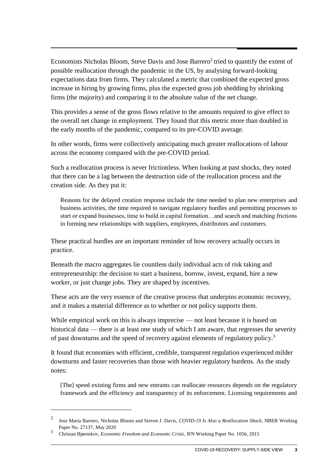Economists Nicholas Bloom, Steve Davis and Jose Barrero<sup>2</sup> tried to quantify the extent of possible reallocation through the pandemic in the US, by analysing forward-looking expectations data from firms. They calculated a metric that combined the expected gross increase in hiring by growing firms, plus the expected gross job shedding by shrinking firms (the majority) and comparing it to the absolute value of the net change.

This provides a sense of the gross flows relative to the amounts required to give effect to the overall net change in employment. They found that this metric more than doubled in the early months of the pandemic, compared to its pre-COVID average.

In other words, firms were collectively anticipating much greater reallocations of labour across the economy compared with the pre-COVID period.

Such a reallocation process is never frictionless. When looking at past shocks, they noted that there can be a lag between the destruction side of the reallocation process and the creation side. As they put it:

Reasons for the delayed creation response include the time needed to plan new enterprises and business activities, the time required to navigate regulatory hurdles and permitting processes to start or expand businesses, time to build in capital formation…and search and matching frictions in forming new relationships with suppliers, employees, distributors and customers.

These practical hurdles are an important reminder of how recovery actually occurs in practice.

Beneath the macro aggregates lie countless daily individual acts of risk taking and entrepreneurship: the decision to start a business, borrow, invest, expand, hire a new worker, or just change jobs. They are shaped by incentives.

These acts are the very essence of the creative process that underpins economic recovery, and it makes a material difference as to whether or not policy supports them.

While empirical work on this is always imprecise — not least because it is based on historical data — there is at least one study of which I am aware, that regresses the severity of past downturns and the speed of recovery against elements of regulatory policy.<sup>3</sup>

It found that economies with efficient, credible, transparent regulation experienced milder downturns and faster recoveries than those with heavier regulatory burdens. As the study notes:

[The] speed existing firms and new entrants can reallocate resources depends on the regulatory framework and the efficiency and transparency of its enforcement. Licensing requirements and

 $\overline{a}$ 

<sup>2</sup> Jose Maria Barrero, Nicholas Bloom and Steven J. Davis, *COVID-19 Is Also a Reallocation Shock*, NBER Working Paper No. 27137, May 2020

<sup>3</sup> Christan Bjørnskov, *Economic Freedom and Economic Crisis*, IFN Working Paper No. 1056, 2015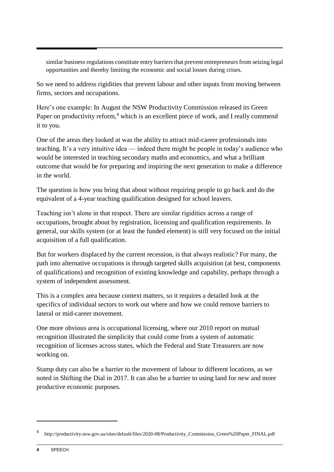similar business regulations constitute entry barriers that prevent entrepreneurs from seizing legal opportunities and thereby limiting the economic and social losses during crises.

So we need to address rigidities that prevent labour and other inputs from moving between firms, sectors and occupations.

Here's one example: In August the NSW Productivity Commission released its Green Paper on productivity reform,<sup>4</sup> which is an excellent piece of work, and I really commend it to you.

One of the areas they looked at was the ability to attract mid-career professionals into teaching. It's a very intuitive idea — indeed there might be people in today's audience who would be interested in teaching secondary maths and economics, and what a brilliant outcome that would be for preparing and inspiring the next generation to make a difference in the world.

The question is how you bring that about without requiring people to go back and do the equivalent of a 4-year teaching qualification designed for school leavers.

Teaching isn't alone in that respect. There are similar rigidities across a range of occupations, brought about by registration, licensing and qualification requirements. In general, our skills system (or at least the funded element) is still very focused on the initial acquisition of a full qualification.

But for workers displaced by the current recession, is that always realistic? For many, the path into alternative occupations is through targeted skills acquisition (at best, components of qualifications) and recognition of existing knowledge and capability, perhaps through a system of independent assessment.

This is a complex area because context matters, so it requires a detailed look at the specifics of individual sectors to work out where and how we could remove barriers to lateral or mid-career movement.

One more obvious area is occupational licensing, where our 2010 report on mutual recognition illustrated the simplicity that could come from a system of automatic recognition of licenses across states, which the Federal and State Treasurers are now working on.

Stamp duty can also be a barrier to the movement of labour to different locations, as we noted in Shifting the Dial in 2017. It can also be a barrier to using land for new and more productive economic purposes.

1

<sup>4</sup> http://productivity.nsw.gov.au/sites/default/files/2020-08/Productivity\_Commission\_Green%20Paper\_FINAL.pdf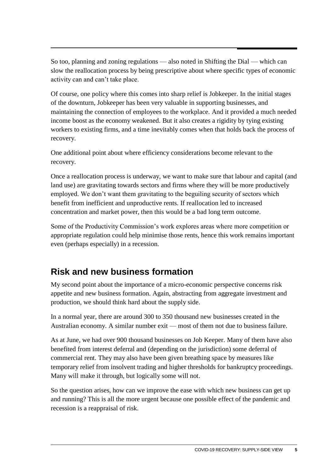So too, planning and zoning regulations — also noted in Shifting the Dial — which can slow the reallocation process by being prescriptive about where specific types of economic activity can and can't take place.

Of course, one policy where this comes into sharp relief is Jobkeeper. In the initial stages of the downturn, Jobkeeper has been very valuable in supporting businesses, and maintaining the connection of employees to the workplace. And it provided a much needed income boost as the economy weakened. But it also creates a rigidity by tying existing workers to existing firms, and a time inevitably comes when that holds back the process of recovery.

One additional point about where efficiency considerations become relevant to the recovery.

Once a reallocation process is underway, we want to make sure that labour and capital (and land use) are gravitating towards sectors and firms where they will be more productively employed. We don't want them gravitating to the beguiling security of sectors which benefit from inefficient and unproductive rents. If reallocation led to increased concentration and market power, then this would be a bad long term outcome.

Some of the Productivity Commission's work explores areas where more competition or appropriate regulation could help minimise those rents, hence this work remains important even (perhaps especially) in a recession.

### **Risk and new business formation**

My second point about the importance of a micro-economic perspective concerns risk appetite and new business formation. Again, abstracting from aggregate investment and production, we should think hard about the supply side.

In a normal year, there are around 300 to 350 thousand new businesses created in the Australian economy. A similar number exit — most of them not due to business failure.

As at June, we had over 900 thousand businesses on Job Keeper. Many of them have also benefited from interest deferral and (depending on the jurisdiction) some deferral of commercial rent. They may also have been given breathing space by measures like temporary relief from insolvent trading and higher thresholds for bankruptcy proceedings. Many will make it through, but logically some will not.

So the question arises, how can we improve the ease with which new business can get up and running? This is all the more urgent because one possible effect of the pandemic and recession is a reappraisal of risk.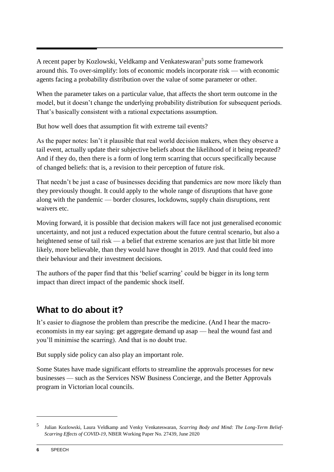A recent paper by Kozlowski, Veldkamp and Venkateswaran<sup>5</sup> puts some framework around this. To over-simplify: lots of economic models incorporate risk — with economic agents facing a probability distribution over the value of some parameter or other.

When the parameter takes on a particular value, that affects the short term outcome in the model, but it doesn't change the underlying probability distribution for subsequent periods. That's basically consistent with a rational expectations assumption.

But how well does that assumption fit with extreme tail events?

As the paper notes: Isn't it plausible that real world decision makers, when they observe a tail event, actually update their subjective beliefs about the likelihood of it being repeated? And if they do, then there is a form of long term scarring that occurs specifically because of changed beliefs: that is, a revision to their perception of future risk.

That needn't be just a case of businesses deciding that pandemics are now more likely than they previously thought. It could apply to the whole range of disruptions that have gone along with the pandemic — border closures, lockdowns, supply chain disruptions, rent waivers etc.

Moving forward, it is possible that decision makers will face not just generalised economic uncertainty, and not just a reduced expectation about the future central scenario, but also a heightened sense of tail risk — a belief that extreme scenarios are just that little bit more likely, more believable, than they would have thought in 2019. And that could feed into their behaviour and their investment decisions.

The authors of the paper find that this 'belief scarring' could be bigger in its long term impact than direct impact of the pandemic shock itself.

# **What to do about it?**

It's easier to diagnose the problem than prescribe the medicine. (And I hear the macroeconomists in my ear saying: get aggregate demand up asap — heal the wound fast and you'll minimise the scarring). And that is no doubt true.

But supply side policy can also play an important role.

Some States have made significant efforts to streamline the approvals processes for new businesses — such as the Services NSW Business Concierge, and the Better Approvals program in Victorian local councils.

-

<sup>5</sup> Julian Kozlowski, Laura Veldkamp and Venky Venkateswaran, *Scarring Body and Mind: The Long-Term Belief-Scarring Effects of COVID-19*, NBER Working Paper No. 27439, June 2020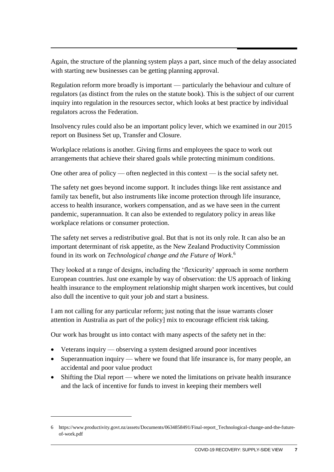Again, the structure of the planning system plays a part, since much of the delay associated with starting new businesses can be getting planning approval.

Regulation reform more broadly is important — particularly the behaviour and culture of regulators (as distinct from the rules on the statute book). This is the subject of our current inquiry into regulation in the resources sector, which looks at best practice by individual regulators across the Federation.

Insolvency rules could also be an important policy lever, which we examined in our 2015 report on Business Set up, Transfer and Closure.

Workplace relations is another. Giving firms and employees the space to work out arrangements that achieve their shared goals while protecting minimum conditions.

One other area of policy — often neglected in this context — is the social safety net.

The safety net goes beyond income support. It includes things like rent assistance and family tax benefit, but also instruments like income protection through life insurance, access to health insurance, workers compensation, and as we have seen in the current pandemic, superannuation. It can also be extended to regulatory policy in areas like workplace relations or consumer protection.

The safety net serves a redistributive goal. But that is not its only role. It can also be an important determinant of risk appetite, as the New Zealand Productivity Commission found in its work on *Technological change and the Future of Work*. 6

They looked at a range of designs, including the 'flexicurity' approach in some northern European countries. Just one example by way of observation: the US approach of linking health insurance to the employment relationship might sharpen work incentives, but could also dull the incentive to quit your job and start a business.

I am not calling for any particular reform; just noting that the issue warrants closer attention in Australia as part of the policy] mix to encourage efficient risk taking.

Our work has brought us into contact with many aspects of the safety net in the:

• Veterans inquiry — observing a system designed around poor incentives

 $\overline{a}$ 

- Superannuation inquiry where we found that life insurance is, for many people, an accidental and poor value product
- Shifting the Dial report where we noted the limitations on private health insurance and the lack of incentive for funds to invest in keeping their members well

<sup>6</sup> https://www.productivity.govt.nz/assets/Documents/0634858491/Final-report\_Technological-change-and-the-futureof-work.pdf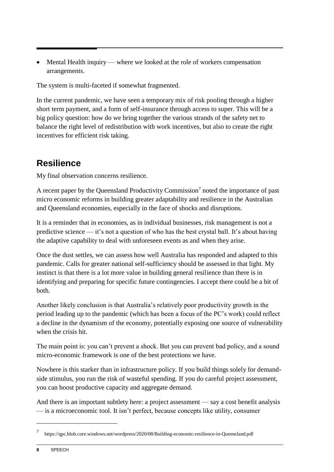• Mental Health inquiry — where we looked at the role of workers compensation arrangements.

The system is multi-faceted if somewhat fragmented.

In the current pandemic, we have seen a temporary mix of risk pooling through a higher short term payment, and a form of self-insurance through access to super. This will be a big policy question: how do we bring together the various strands of the safety net to balance the right level of redistribution with work incentives, but also to create the right incentives for efficient risk taking.

## **Resilience**

My final observation concerns resilience.

A recent paper by the Queensland Productivity Commission<sup>7</sup> noted the importance of past micro economic reforms in building greater adaptability and resilience in the Australian and Queensland economies, especially in the face of shocks and disruptions.

It is a reminder that in economies, as in individual businesses, risk management is not a predictive science — it's not a question of who has the best crystal ball. It's about having the adaptive capability to deal with unforeseen events as and when they arise.

Once the dust settles, we can assess how well Australia has responded and adapted to this pandemic. Calls for greater national self-sufficiency should be assessed in that light. My instinct is that there is a lot more value in building general resilience than there is in identifying and preparing for specific future contingencies. I accept there could be a bit of both.

Another likely conclusion is that Australia's relatively poor productivity growth in the period leading up to the pandemic (which has been a focus of the PC's work) could reflect a decline in the dynamism of the economy, potentially exposing one source of vulnerability when the crisis hit.

The main point is: you can't prevent a shock. But you can prevent bad policy, and a sound micro-economic framework is one of the best protections we have.

Nowhere is this starker than in infrastructure policy. If you build things solely for demandside stimulus, you run the risk of wasteful spending. If you do careful project assessment, you can boost productive capacity and aggregate demand.

And there is an important subtlety here: a project assessment — say a cost benefit analysis — is a microeconomic tool. It isn't perfect, because concepts like utility, consumer

-

<sup>7</sup> https://qpc.blob.core.windows.net/wordpress/2020/08/Building-economic-resilience-in-Queensland.pdf